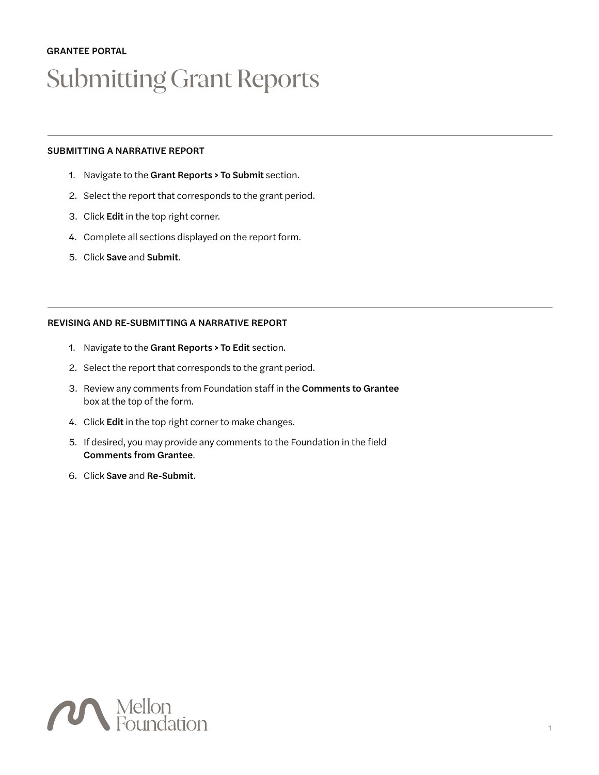# GRANTEE PORTAL Submitting Grant Reports

## SUBMITTING A NARRATIVE REPORT

- 1. Navigate to the Grant Reports > To Submit section.
- 2. Select the report that corresponds to the grant period.
- 3. Click Edit in the top right corner.
- 4. Complete all sections displayed on the report form.
- 5. Click Save and Submit.

## REVISING AND RE-SUBMITTING A NARRATIVE REPORT

- 1. Navigate to the Grant Reports > To Edit section.
- 2. Select the report that corresponds to the grant period.
- 3. Review any comments from Foundation staff in the Comments to Grantee box at the top of the form.
- 4. Click Edit in the top right corner to make changes.
- 5. If desired, you may provide any comments to the Foundation in the field Comments from Grantee.
- 6. Click Save and Re-Submit.